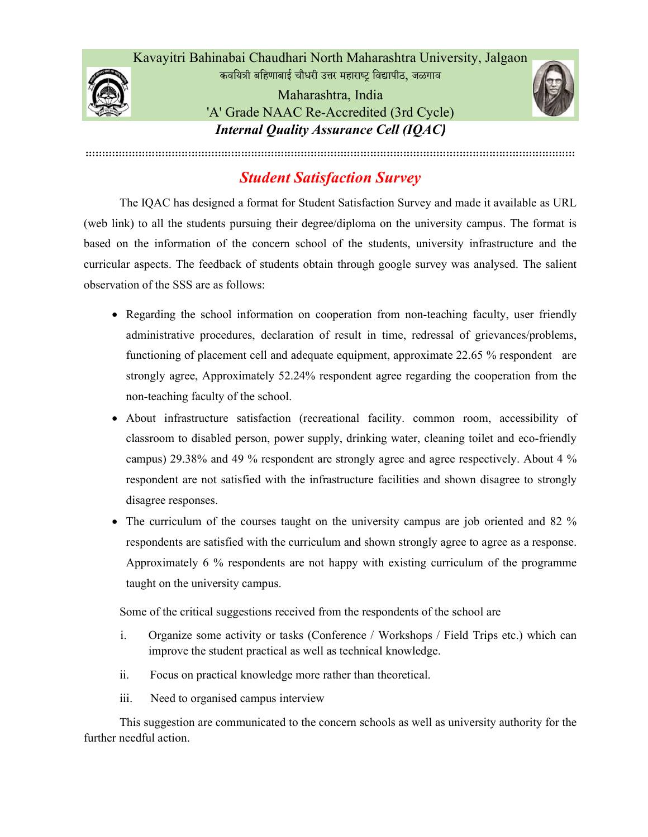Kavayitri Bahinabai Chaudhari North Maharashtra University, Jalgaon

कवयित्री बहिणाबाई चौधरी उत्तर महाराष्ट्र विद्यापीठ, जळगाव Maharashtra, India 'A' Grade NAAC Re-Accredited (3rd Cycle) Internal Quality Assurance Cell (IQAC)



::::::::::::::::::::::::::::::::::::::::::::::::::::::::::::::::::::::::::::::::::::::::::::::::::::::::::::::::::::::::::::::::::::::::::::::::::::

## Student Satisfaction Survey

The IQAC has designed a format for Student Satisfaction Survey and made it available as URL (web link) to all the students pursuing their degree/diploma on the university campus. The format is based on the information of the concern school of the students, university infrastructure and the curricular aspects. The feedback of students obtain through google survey was analysed. The salient observation of the SSS are as follows:

- Regarding the school information on cooperation from non-teaching faculty, user friendly administrative procedures, declaration of result in time, redressal of grievances/problems, functioning of placement cell and adequate equipment, approximate 22.65 % respondent are strongly agree, Approximately 52.24% respondent agree regarding the cooperation from the non-teaching faculty of the school.
- About infrastructure satisfaction (recreational facility. common room, accessibility of classroom to disabled person, power supply, drinking water, cleaning toilet and eco-friendly campus) 29.38% and 49 % respondent are strongly agree and agree respectively. About 4 % respondent are not satisfied with the infrastructure facilities and shown disagree to strongly disagree responses.
- The curriculum of the courses taught on the university campus are job oriented and 82 % respondents are satisfied with the curriculum and shown strongly agree to agree as a response. Approximately 6 % respondents are not happy with existing curriculum of the programme taught on the university campus.

Some of the critical suggestions received from the respondents of the school are

- i. Organize some activity or tasks (Conference / Workshops / Field Trips etc.) which can improve the student practical as well as technical knowledge.
- ii. Focus on practical knowledge more rather than theoretical.
- iii. Need to organised campus interview

 This suggestion are communicated to the concern schools as well as university authority for the further needful action.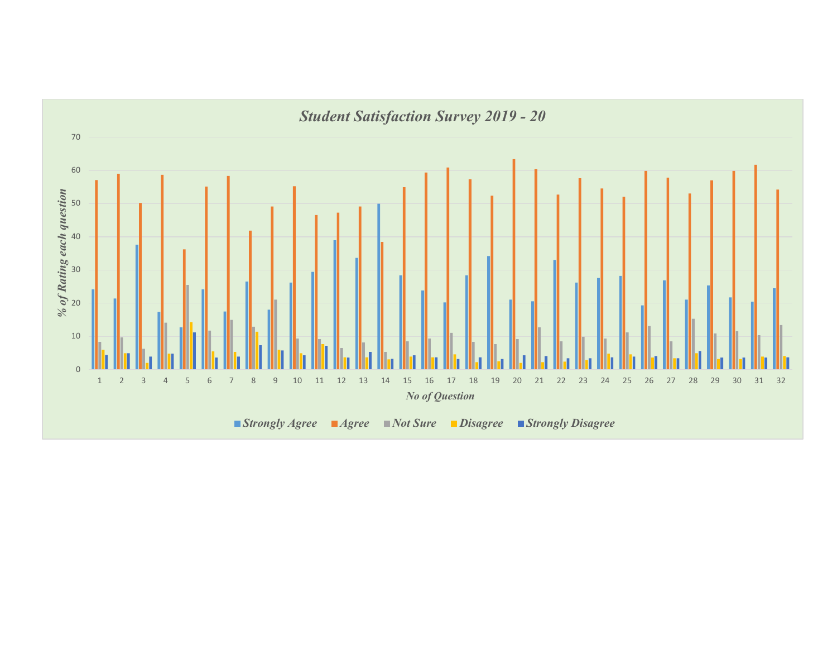